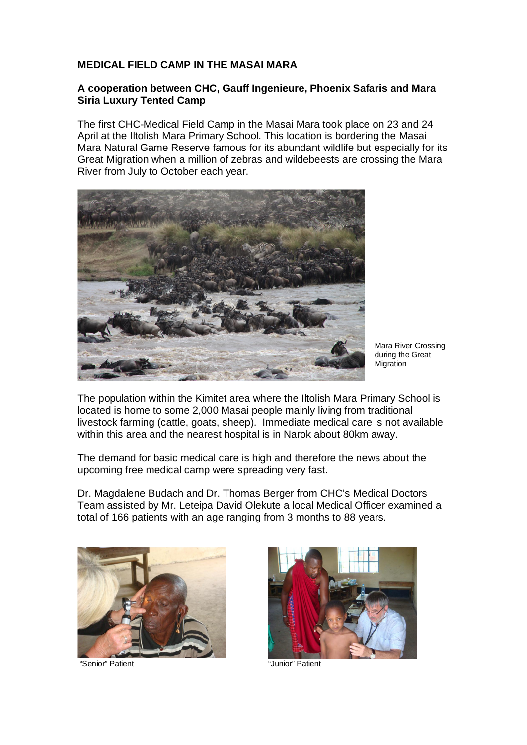## **MEDICAL FIELD CAMP IN THE MASAI MARA**

## **A cooperation between CHC, Gauff Ingenieure, Phoenix Safaris and Mara Siria Luxury Tented Camp**

The first CHC-Medical Field Camp in the Masai Mara took place on 23 and 24 April at the Iltolish Mara Primary School. This location is bordering the Masai Mara Natural Game Reserve famous for its abundant wildlife but especially for its Great Migration when a million of zebras and wildebeests are crossing the Mara River from July to October each year.



Mara River Crossing during the Great Migration

The population within the Kimitet area where the Iltolish Mara Primary School is located is home to some 2,000 Masai people mainly living from traditional livestock farming (cattle, goats, sheep). Immediate medical care is not available within this area and the nearest hospital is in Narok about 80km away.

The demand for basic medical care is high and therefore the news about the upcoming free medical camp were spreading very fast.

Dr. Magdalene Budach and Dr. Thomas Berger from CHC's Medical Doctors Team assisted by Mr. Leteipa David Olekute a local Medical Officer examined a total of 166 patients with an age ranging from 3 months to 88 years.



"Senior" Patient "Junior" Patient